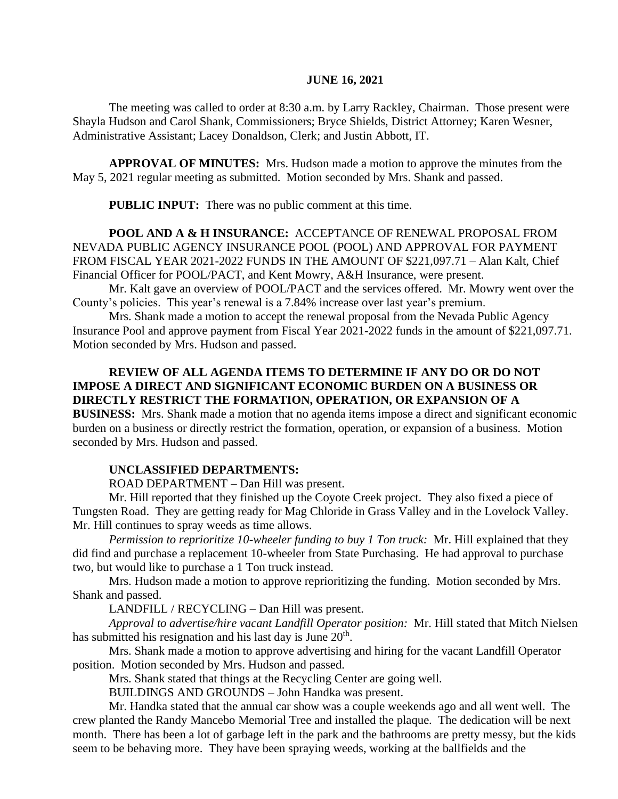#### **JUNE 16, 2021**

The meeting was called to order at 8:30 a.m. by Larry Rackley, Chairman. Those present were Shayla Hudson and Carol Shank, Commissioners; Bryce Shields, District Attorney; Karen Wesner, Administrative Assistant; Lacey Donaldson, Clerk; and Justin Abbott, IT.

**APPROVAL OF MINUTES:** Mrs. Hudson made a motion to approve the minutes from the May 5, 2021 regular meeting as submitted. Motion seconded by Mrs. Shank and passed.

 **PUBLIC INPUT:** There was no public comment at this time.

**POOL AND A & H INSURANCE:** ACCEPTANCE OF RENEWAL PROPOSAL FROM NEVADA PUBLIC AGENCY INSURANCE POOL (POOL) AND APPROVAL FOR PAYMENT FROM FISCAL YEAR 2021-2022 FUNDS IN THE AMOUNT OF \$221,097.71 – Alan Kalt, Chief Financial Officer for POOL/PACT, and Kent Mowry, A&H Insurance, were present.

Mr. Kalt gave an overview of POOL/PACT and the services offered. Mr. Mowry went over the County's policies. This year's renewal is a 7.84% increase over last year's premium.

Mrs. Shank made a motion to accept the renewal proposal from the Nevada Public Agency Insurance Pool and approve payment from Fiscal Year 2021-2022 funds in the amount of \$221,097.71. Motion seconded by Mrs. Hudson and passed.

# **REVIEW OF ALL AGENDA ITEMS TO DETERMINE IF ANY DO OR DO NOT IMPOSE A DIRECT AND SIGNIFICANT ECONOMIC BURDEN ON A BUSINESS OR DIRECTLY RESTRICT THE FORMATION, OPERATION, OR EXPANSION OF A**

**BUSINESS:** Mrs. Shank made a motion that no agenda items impose a direct and significant economic burden on a business or directly restrict the formation, operation, or expansion of a business. Motion seconded by Mrs. Hudson and passed.

## **UNCLASSIFIED DEPARTMENTS:**

ROAD DEPARTMENT – Dan Hill was present.

Mr. Hill reported that they finished up the Coyote Creek project. They also fixed a piece of Tungsten Road. They are getting ready for Mag Chloride in Grass Valley and in the Lovelock Valley. Mr. Hill continues to spray weeds as time allows.

*Permission to reprioritize 10-wheeler funding to buy 1 Ton truck:* Mr. Hill explained that they did find and purchase a replacement 10-wheeler from State Purchasing. He had approval to purchase two, but would like to purchase a 1 Ton truck instead.

Mrs. Hudson made a motion to approve reprioritizing the funding. Motion seconded by Mrs. Shank and passed.

LANDFILL / RECYCLING – Dan Hill was present.

*Approval to advertise/hire vacant Landfill Operator position:* Mr. Hill stated that Mitch Nielsen has submitted his resignation and his last day is June  $20<sup>th</sup>$ .

Mrs. Shank made a motion to approve advertising and hiring for the vacant Landfill Operator position. Motion seconded by Mrs. Hudson and passed.

Mrs. Shank stated that things at the Recycling Center are going well.

BUILDINGS AND GROUNDS – John Handka was present.

Mr. Handka stated that the annual car show was a couple weekends ago and all went well. The crew planted the Randy Mancebo Memorial Tree and installed the plaque. The dedication will be next month. There has been a lot of garbage left in the park and the bathrooms are pretty messy, but the kids seem to be behaving more. They have been spraying weeds, working at the ballfields and the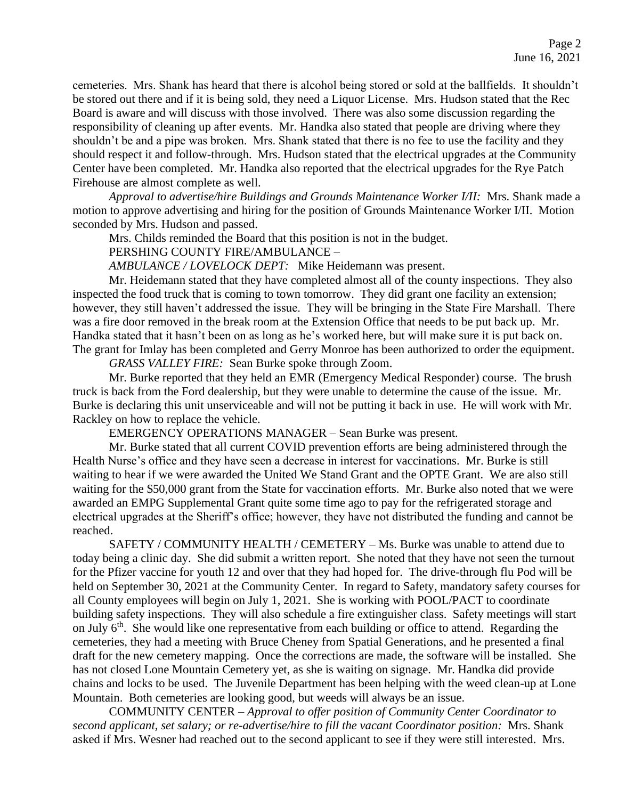cemeteries. Mrs. Shank has heard that there is alcohol being stored or sold at the ballfields. It shouldn't be stored out there and if it is being sold, they need a Liquor License. Mrs. Hudson stated that the Rec Board is aware and will discuss with those involved. There was also some discussion regarding the responsibility of cleaning up after events. Mr. Handka also stated that people are driving where they shouldn't be and a pipe was broken. Mrs. Shank stated that there is no fee to use the facility and they should respect it and follow-through. Mrs. Hudson stated that the electrical upgrades at the Community Center have been completed. Mr. Handka also reported that the electrical upgrades for the Rye Patch Firehouse are almost complete as well.

*Approval to advertise/hire Buildings and Grounds Maintenance Worker I/II:* Mrs. Shank made a motion to approve advertising and hiring for the position of Grounds Maintenance Worker I/II. Motion seconded by Mrs. Hudson and passed.

Mrs. Childs reminded the Board that this position is not in the budget.

PERSHING COUNTY FIRE/AMBULANCE –

*AMBULANCE / LOVELOCK DEPT:* Mike Heidemann was present.

Mr. Heidemann stated that they have completed almost all of the county inspections. They also inspected the food truck that is coming to town tomorrow. They did grant one facility an extension; however, they still haven't addressed the issue. They will be bringing in the State Fire Marshall. There was a fire door removed in the break room at the Extension Office that needs to be put back up. Mr. Handka stated that it hasn't been on as long as he's worked here, but will make sure it is put back on. The grant for Imlay has been completed and Gerry Monroe has been authorized to order the equipment.

*GRASS VALLEY FIRE:* Sean Burke spoke through Zoom.

Mr. Burke reported that they held an EMR (Emergency Medical Responder) course. The brush truck is back from the Ford dealership, but they were unable to determine the cause of the issue. Mr. Burke is declaring this unit unserviceable and will not be putting it back in use. He will work with Mr. Rackley on how to replace the vehicle.

EMERGENCY OPERATIONS MANAGER – Sean Burke was present.

Mr. Burke stated that all current COVID prevention efforts are being administered through the Health Nurse's office and they have seen a decrease in interest for vaccinations. Mr. Burke is still waiting to hear if we were awarded the United We Stand Grant and the OPTE Grant. We are also still waiting for the \$50,000 grant from the State for vaccination efforts. Mr. Burke also noted that we were awarded an EMPG Supplemental Grant quite some time ago to pay for the refrigerated storage and electrical upgrades at the Sheriff's office; however, they have not distributed the funding and cannot be reached.

SAFETY / COMMUNITY HEALTH / CEMETERY – Ms. Burke was unable to attend due to today being a clinic day. She did submit a written report. She noted that they have not seen the turnout for the Pfizer vaccine for youth 12 and over that they had hoped for. The drive-through flu Pod will be held on September 30, 2021 at the Community Center. In regard to Safety, mandatory safety courses for all County employees will begin on July 1, 2021. She is working with POOL/PACT to coordinate building safety inspections. They will also schedule a fire extinguisher class. Safety meetings will start on July 6<sup>th</sup>. She would like one representative from each building or office to attend. Regarding the cemeteries, they had a meeting with Bruce Cheney from Spatial Generations, and he presented a final draft for the new cemetery mapping. Once the corrections are made, the software will be installed. She has not closed Lone Mountain Cemetery yet, as she is waiting on signage. Mr. Handka did provide chains and locks to be used. The Juvenile Department has been helping with the weed clean-up at Lone Mountain. Both cemeteries are looking good, but weeds will always be an issue.

COMMUNITY CENTER – *Approval to offer position of Community Center Coordinator to second applicant, set salary; or re-advertise/hire to fill the vacant Coordinator position:* Mrs. Shank asked if Mrs. Wesner had reached out to the second applicant to see if they were still interested. Mrs.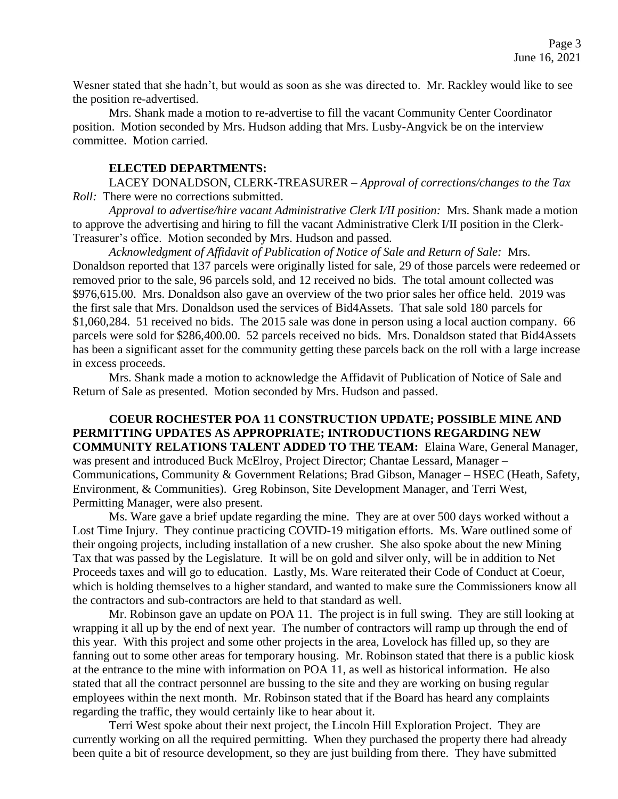Wesner stated that she hadn't, but would as soon as she was directed to. Mr. Rackley would like to see the position re-advertised.

Mrs. Shank made a motion to re-advertise to fill the vacant Community Center Coordinator position. Motion seconded by Mrs. Hudson adding that Mrs. Lusby-Angvick be on the interview committee. Motion carried.

#### **ELECTED DEPARTMENTS:**

LACEY DONALDSON, CLERK-TREASURER – *Approval of corrections/changes to the Tax Roll:* There were no corrections submitted.

*Approval to advertise/hire vacant Administrative Clerk I/II position:* Mrs. Shank made a motion to approve the advertising and hiring to fill the vacant Administrative Clerk I/II position in the Clerk-Treasurer's office. Motion seconded by Mrs. Hudson and passed.

*Acknowledgment of Affidavit of Publication of Notice of Sale and Return of Sale:* Mrs. Donaldson reported that 137 parcels were originally listed for sale, 29 of those parcels were redeemed or removed prior to the sale, 96 parcels sold, and 12 received no bids. The total amount collected was \$976,615.00. Mrs. Donaldson also gave an overview of the two prior sales her office held. 2019 was the first sale that Mrs. Donaldson used the services of Bid4Assets. That sale sold 180 parcels for \$1,060,284. 51 received no bids. The 2015 sale was done in person using a local auction company. 66 parcels were sold for \$286,400.00. 52 parcels received no bids. Mrs. Donaldson stated that Bid4Assets has been a significant asset for the community getting these parcels back on the roll with a large increase in excess proceeds.

Mrs. Shank made a motion to acknowledge the Affidavit of Publication of Notice of Sale and Return of Sale as presented. Motion seconded by Mrs. Hudson and passed.

**COEUR ROCHESTER POA 11 CONSTRUCTION UPDATE; POSSIBLE MINE AND PERMITTING UPDATES AS APPROPRIATE; INTRODUCTIONS REGARDING NEW COMMUNITY RELATIONS TALENT ADDED TO THE TEAM:** Elaina Ware, General Manager, was present and introduced Buck McElroy, Project Director; Chantae Lessard, Manager – Communications, Community & Government Relations; Brad Gibson, Manager – HSEC (Heath, Safety, Environment, & Communities). Greg Robinson, Site Development Manager, and Terri West, Permitting Manager, were also present.

Ms. Ware gave a brief update regarding the mine. They are at over 500 days worked without a Lost Time Injury. They continue practicing COVID-19 mitigation efforts. Ms. Ware outlined some of their ongoing projects, including installation of a new crusher. She also spoke about the new Mining Tax that was passed by the Legislature. It will be on gold and silver only, will be in addition to Net Proceeds taxes and will go to education. Lastly, Ms. Ware reiterated their Code of Conduct at Coeur, which is holding themselves to a higher standard, and wanted to make sure the Commissioners know all the contractors and sub-contractors are held to that standard as well.

Mr. Robinson gave an update on POA 11. The project is in full swing. They are still looking at wrapping it all up by the end of next year. The number of contractors will ramp up through the end of this year. With this project and some other projects in the area, Lovelock has filled up, so they are fanning out to some other areas for temporary housing. Mr. Robinson stated that there is a public kiosk at the entrance to the mine with information on POA 11, as well as historical information. He also stated that all the contract personnel are bussing to the site and they are working on busing regular employees within the next month. Mr. Robinson stated that if the Board has heard any complaints regarding the traffic, they would certainly like to hear about it.

Terri West spoke about their next project, the Lincoln Hill Exploration Project. They are currently working on all the required permitting. When they purchased the property there had already been quite a bit of resource development, so they are just building from there. They have submitted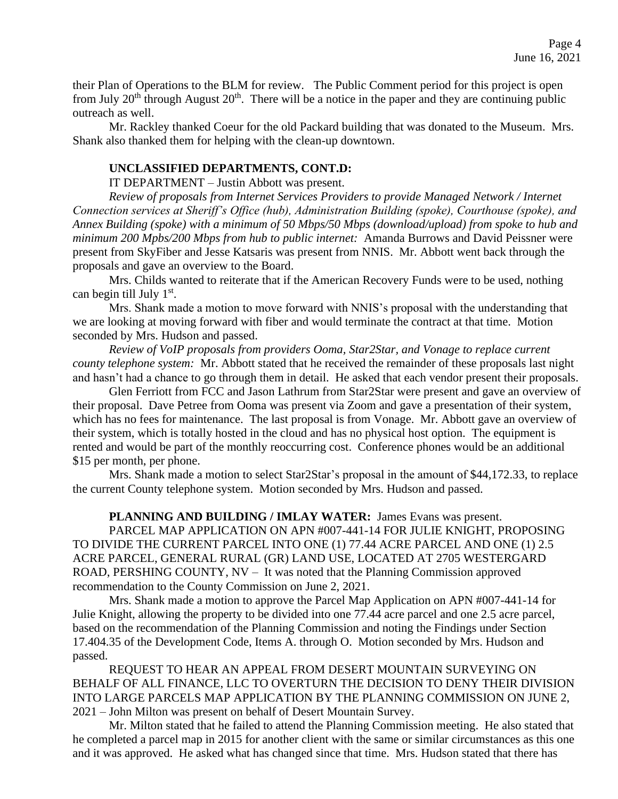their Plan of Operations to the BLM for review. The Public Comment period for this project is open from July  $20<sup>th</sup>$  through August  $20<sup>th</sup>$ . There will be a notice in the paper and they are continuing public outreach as well.

Mr. Rackley thanked Coeur for the old Packard building that was donated to the Museum. Mrs. Shank also thanked them for helping with the clean-up downtown.

#### **UNCLASSIFIED DEPARTMENTS, CONT.D:**

IT DEPARTMENT – Justin Abbott was present.

*Review of proposals from Internet Services Providers to provide Managed Network / Internet Connection services at Sheriff's Office (hub), Administration Building (spoke), Courthouse (spoke), and Annex Building (spoke) with a minimum of 50 Mbps/50 Mbps (download/upload) from spoke to hub and minimum 200 Mpbs/200 Mbps from hub to public internet:* Amanda Burrows and David Peissner were present from SkyFiber and Jesse Katsaris was present from NNIS. Mr. Abbott went back through the proposals and gave an overview to the Board.

Mrs. Childs wanted to reiterate that if the American Recovery Funds were to be used, nothing can begin till July 1<sup>st</sup>.

Mrs. Shank made a motion to move forward with NNIS's proposal with the understanding that we are looking at moving forward with fiber and would terminate the contract at that time. Motion seconded by Mrs. Hudson and passed.

*Review of VoIP proposals from providers Ooma, Star2Star, and Vonage to replace current county telephone system:* Mr. Abbott stated that he received the remainder of these proposals last night and hasn't had a chance to go through them in detail. He asked that each vendor present their proposals.

Glen Ferriott from FCC and Jason Lathrum from Star2Star were present and gave an overview of their proposal. Dave Petree from Ooma was present via Zoom and gave a presentation of their system, which has no fees for maintenance. The last proposal is from Vonage. Mr. Abbott gave an overview of their system, which is totally hosted in the cloud and has no physical host option. The equipment is rented and would be part of the monthly reoccurring cost. Conference phones would be an additional \$15 per month, per phone.

Mrs. Shank made a motion to select Star2Star's proposal in the amount of \$44,172.33, to replace the current County telephone system. Motion seconded by Mrs. Hudson and passed.

**PLANNING AND BUILDING / IMLAY WATER:** James Evans was present.

PARCEL MAP APPLICATION ON APN #007-441-14 FOR JULIE KNIGHT, PROPOSING TO DIVIDE THE CURRENT PARCEL INTO ONE (1) 77.44 ACRE PARCEL AND ONE (1) 2.5 ACRE PARCEL, GENERAL RURAL (GR) LAND USE, LOCATED AT 2705 WESTERGARD ROAD, PERSHING COUNTY, NV – It was noted that the Planning Commission approved recommendation to the County Commission on June 2, 2021.

Mrs. Shank made a motion to approve the Parcel Map Application on APN #007-441-14 for Julie Knight, allowing the property to be divided into one 77.44 acre parcel and one 2.5 acre parcel, based on the recommendation of the Planning Commission and noting the Findings under Section 17.404.35 of the Development Code, Items A. through O. Motion seconded by Mrs. Hudson and passed.

REQUEST TO HEAR AN APPEAL FROM DESERT MOUNTAIN SURVEYING ON BEHALF OF ALL FINANCE, LLC TO OVERTURN THE DECISION TO DENY THEIR DIVISION INTO LARGE PARCELS MAP APPLICATION BY THE PLANNING COMMISSION ON JUNE 2, 2021 – John Milton was present on behalf of Desert Mountain Survey.

Mr. Milton stated that he failed to attend the Planning Commission meeting. He also stated that he completed a parcel map in 2015 for another client with the same or similar circumstances as this one and it was approved. He asked what has changed since that time. Mrs. Hudson stated that there has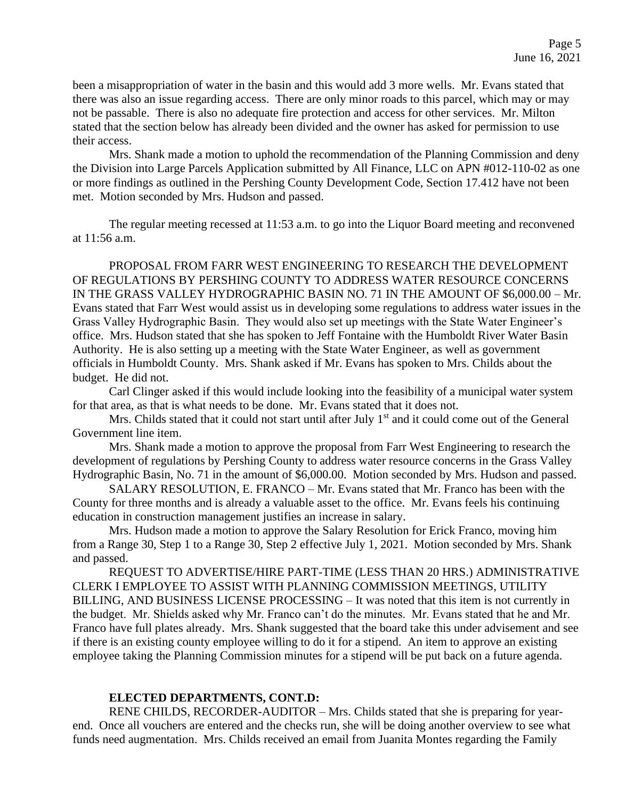been a misappropriation of water in the basin and this would add 3 more wells. Mr. Evans stated that there was also an issue regarding access. There are only minor roads to this parcel, which may or may not be passable. There is also no adequate fire protection and access for other services. Mr. Milton stated that the section below has already been divided and the owner has asked for permission to use their access.

Mrs. Shank made a motion to uphold the recommendation of the Planning Commission and deny the Division into Large Parcels Application submitted by All Finance, LLC on APN #012-110-02 as one or more findings as outlined in the Pershing County Development Code, Section 17.412 have not been met. Motion seconded by Mrs. Hudson and passed.

The regular meeting recessed at 11:53 a.m. to go into the Liquor Board meeting and reconvened at 11:56 a.m.

PROPOSAL FROM FARR WEST ENGINEERING TO RESEARCH THE DEVELOPMENT OF REGULATIONS BY PERSHING COUNTY TO ADDRESS WATER RESOURCE CONCERNS IN THE GRASS VALLEY HYDROGRAPHIC BASIN NO. 71 IN THE AMOUNT OF \$6,000.00 – Mr. Evans stated that Farr West would assist us in developing some regulations to address water issues in the Grass Valley Hydrographic Basin. They would also set up meetings with the State Water Engineer's office. Mrs. Hudson stated that she has spoken to Jeff Fontaine with the Humboldt River Water Basin Authority. He is also setting up a meeting with the State Water Engineer, as well as government officials in Humboldt County. Mrs. Shank asked if Mr. Evans has spoken to Mrs. Childs about the budget. He did not.

Carl Clinger asked if this would include looking into the feasibility of a municipal water system for that area, as that is what needs to be done. Mr. Evans stated that it does not.

Mrs. Childs stated that it could not start until after July 1<sup>st</sup> and it could come out of the General Government line item.

Mrs. Shank made a motion to approve the proposal from Farr West Engineering to research the development of regulations by Pershing County to address water resource concerns in the Grass Valley Hydrographic Basin, No. 71 in the amount of \$6,000.00. Motion seconded by Mrs. Hudson and passed.

SALARY RESOLUTION, E. FRANCO – Mr. Evans stated that Mr. Franco has been with the County for three months and is already a valuable asset to the office. Mr. Evans feels his continuing education in construction management justifies an increase in salary.

Mrs. Hudson made a motion to approve the Salary Resolution for Erick Franco, moving him from a Range 30, Step 1 to a Range 30, Step 2 effective July 1, 2021. Motion seconded by Mrs. Shank and passed.

REQUEST TO ADVERTISE/HIRE PART-TIME (LESS THAN 20 HRS.) ADMINISTRATIVE CLERK I EMPLOYEE TO ASSIST WITH PLANNING COMMISSION MEETINGS, UTILITY BILLING, AND BUSINESS LICENSE PROCESSING – It was noted that this item is not currently in the budget. Mr. Shields asked why Mr. Franco can't do the minutes. Mr. Evans stated that he and Mr. Franco have full plates already. Mrs. Shank suggested that the board take this under advisement and see if there is an existing county employee willing to do it for a stipend. An item to approve an existing employee taking the Planning Commission minutes for a stipend will be put back on a future agenda.

## **ELECTED DEPARTMENTS, CONT.D:**

RENE CHILDS, RECORDER-AUDITOR – Mrs. Childs stated that she is preparing for yearend. Once all vouchers are entered and the checks run, she will be doing another overview to see what funds need augmentation. Mrs. Childs received an email from Juanita Montes regarding the Family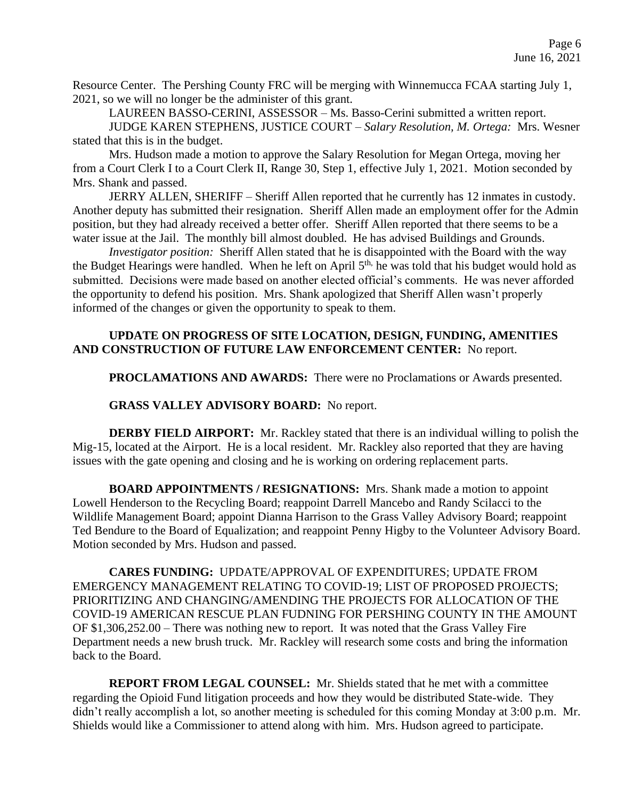Resource Center. The Pershing County FRC will be merging with Winnemucca FCAA starting July 1, 2021, so we will no longer be the administer of this grant.

LAUREEN BASSO-CERINI, ASSESSOR – Ms. Basso-Cerini submitted a written report.

JUDGE KAREN STEPHENS, JUSTICE COURT – *Salary Resolution, M. Ortega:* Mrs. Wesner stated that this is in the budget.

Mrs. Hudson made a motion to approve the Salary Resolution for Megan Ortega, moving her from a Court Clerk I to a Court Clerk II, Range 30, Step 1, effective July 1, 2021. Motion seconded by Mrs. Shank and passed.

JERRY ALLEN, SHERIFF – Sheriff Allen reported that he currently has 12 inmates in custody. Another deputy has submitted their resignation. Sheriff Allen made an employment offer for the Admin position, but they had already received a better offer. Sheriff Allen reported that there seems to be a water issue at the Jail. The monthly bill almost doubled. He has advised Buildings and Grounds.

*Investigator position:* Sheriff Allen stated that he is disappointed with the Board with the way the Budget Hearings were handled. When he left on April 5<sup>th,</sup> he was told that his budget would hold as submitted. Decisions were made based on another elected official's comments. He was never afforded the opportunity to defend his position. Mrs. Shank apologized that Sheriff Allen wasn't properly informed of the changes or given the opportunity to speak to them.

## **UPDATE ON PROGRESS OF SITE LOCATION, DESIGN, FUNDING, AMENITIES AND CONSTRUCTION OF FUTURE LAW ENFORCEMENT CENTER:** No report.

**PROCLAMATIONS AND AWARDS:** There were no Proclamations or Awards presented.

## **GRASS VALLEY ADVISORY BOARD:** No report.

**DERBY FIELD AIRPORT:** Mr. Rackley stated that there is an individual willing to polish the Mig-15, located at the Airport. He is a local resident. Mr. Rackley also reported that they are having issues with the gate opening and closing and he is working on ordering replacement parts.

**BOARD APPOINTMENTS / RESIGNATIONS:** Mrs. Shank made a motion to appoint Lowell Henderson to the Recycling Board; reappoint Darrell Mancebo and Randy Scilacci to the Wildlife Management Board; appoint Dianna Harrison to the Grass Valley Advisory Board; reappoint Ted Bendure to the Board of Equalization; and reappoint Penny Higby to the Volunteer Advisory Board. Motion seconded by Mrs. Hudson and passed.

**CARES FUNDING:** UPDATE/APPROVAL OF EXPENDITURES; UPDATE FROM EMERGENCY MANAGEMENT RELATING TO COVID-19; LIST OF PROPOSED PROJECTS; PRIORITIZING AND CHANGING/AMENDING THE PROJECTS FOR ALLOCATION OF THE COVID-19 AMERICAN RESCUE PLAN FUDNING FOR PERSHING COUNTY IN THE AMOUNT OF \$1,306,252.00 – There was nothing new to report. It was noted that the Grass Valley Fire Department needs a new brush truck. Mr. Rackley will research some costs and bring the information back to the Board.

**REPORT FROM LEGAL COUNSEL:** Mr. Shields stated that he met with a committee regarding the Opioid Fund litigation proceeds and how they would be distributed State-wide. They didn't really accomplish a lot, so another meeting is scheduled for this coming Monday at 3:00 p.m. Mr. Shields would like a Commissioner to attend along with him. Mrs. Hudson agreed to participate.